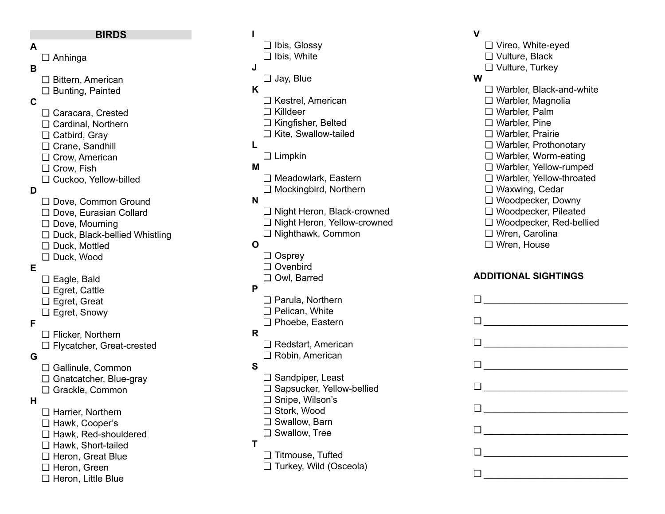#### **BIRDS**

#### **A**

## ❏ Anhinga

### **B**

❏ Bittern, American ❏ Bunting, Painted

## **C**

- ❏ Caracara, Crested ❏ Cardinal, Northern ❏ Catbird, Gray ❏ Crane, Sandhill ❏ Crow, American ❏ Crow, Fish ❏ Cuckoo, Yellow-billed ❏ Dove, Common Ground ❏ Dove, Eurasian Collard ❏ Dove, Mourning
- ❏ Duck, Black-bellied Whistling
- ❏ Duck, Mottled
- ❏ Duck, Wood

## **E**

**D**

- ❏ Eagle, Bald ❏ Egret, Cattle ❏ Egret, Great
- ❏ Egret, Snowy

### **F**

❏ Flicker, Northern ❏ Flycatcher, Great-crested

## **G**

❏ Gallinule, Common ❏ Gnatcatcher, Blue-gray ❏ Grackle, Common

### **H**

❏ Harrier, Northern ❏ Hawk, Cooper's ❏ Hawk, Red-shouldered ❏ Hawk, Short-tailed ❏ Heron, Great Blue ❏ Heron, Green ❏ Heron, Little Blue

# ❏ Ibis, Glossy

❏ Ibis, White

#### **J**

**I**

❏ Jay, Blue

## **K**

- ❏ Kestrel, American
- ❏ Killdeer
- ❏ Kingfisher, Belted
- ❏ Kite, Swallow-tailed

## **L**

❏ Limpkin

## **M**

- ❏ Meadowlark, Eastern
- ❏ Mockingbird, Northern

## **N**

- ❏ Night Heron, Black-crowned
- ❏ Night Heron, Yellow-crowned
- ❏ Nighthawk, Common

## **O**

- ❏ Osprey
- ❏ Ovenbird
- ❏ Owl, Barred

#### **P**

- ❏ Parula, Northern
- ❏ Pelican, White ❏ Phoebe, Eastern

#### **R**

- ❏ Redstart, American
- ❏ Robin, American

## **S**

- ❏ Sandpiper, Least
- ❏ Sapsucker, Yellow-bellied
- ❏ Snipe, Wilson's
- ❏ Stork, Wood
- ❏ Swallow, Barn
- ❏ Swallow, Tree

### **T**

- ❏ Titmouse, Tufted
- ❏ Turkey, Wild (Osceola)

## **V**

❏ Vireo, White-eyed ❏ Vulture, Black ❏ Vulture, Turkey

#### **W**

❏ Warbler, Black-and-white ❏ Warbler, Magnolia ❏ Warbler, Palm ❏ Warbler, Pine ❏ Warbler, Prairie ❏ Warbler, Prothonotary ❏ Warbler, Worm-eating ❏ Warbler, Yellow-rumped ❏ Warbler, Yellow-throated ❏ Waxwing, Cedar ❏ Woodpecker, Downy ❏ Woodpecker, Pileated ❏ Woodpecker, Red-bellied ❏ Wren, Carolina ❏ Wren, House

## **ADDITIONAL SIGHTINGS**

| $\begin{tabular}{ c c c c } \hline \rule{0.3cm}{.04cm} \rule{0.3cm}{.04cm} \rule{0.3cm}{.04cm} \rule{0.3cm}{.04cm} \rule{0.3cm}{.04cm} \rule{0.3cm}{.04cm} \rule{0.3cm}{.04cm} \rule{0.3cm}{.04cm} \rule{0.3cm}{.04cm} \rule{0.3cm}{.04cm} \rule{0.3cm}{.04cm} \rule{0.3cm}{.04cm} \rule{0.3cm}{.04cm} \rule{0.3cm}{.04cm} \rule{0.3cm}{.04cm} \rule{0.3$   |
|-------------------------------------------------------------------------------------------------------------------------------------------------------------------------------------------------------------------------------------------------------------------------------------------------------------------------------------------------------------|
| $\begin{tabular}{ c c c } \hline \rule{0.3cm}{.04cm} \rule{0.3cm}{.04cm} \rule{0.3cm}{.04cm} \rule{0.3cm}{.04cm} \rule{0.3cm}{.04cm} \rule{0.3cm}{.04cm} \rule{0.3cm}{.04cm} \rule{0.3cm}{.04cm} \rule{0.3cm}{.04cm} \rule{0.3cm}{.04cm} \rule{0.3cm}{.04cm} \rule{0.3cm}{.04cm} \rule{0.3cm}{.04cm} \rule{0.3cm}{.04cm} \rule{0.3cm}{.04cm} \rule{0.3cm}{$ |
| $\Box$                                                                                                                                                                                                                                                                                                                                                      |
| $\begin{tabular}{ c c c c } \hline \rule{0.3cm}{.01cm} \rule{0.3cm}{.01cm} \rule{0.3cm}{.01cm} \rule{0.3cm}{.01cm} \rule{0.3cm}{.01cm} \rule{0.3cm}{.01cm} \rule{0.3cm}{.01cm} \rule{0.3cm}{.01cm} \rule{0.3cm}{.01cm} \rule{0.3cm}{.01cm} \rule{0.3cm}{.01cm} \rule{0.3cm}{.01cm} \rule{0.3cm}{.01cm} \rule{0.3cm}{.01cm} \rule{0.3cm}{.01cm} \rule{0.3$   |
| $\begin{tabular}{ c c c c } \hline \rule{0.3cm}{.04cm} \rule{0.3cm}{.04cm} \rule{0.3cm}{.04cm} \rule{0.3cm}{.04cm} \rule{0.3cm}{.04cm} \rule{0.3cm}{.04cm} \rule{0.3cm}{.04cm} \rule{0.3cm}{.04cm} \rule{0.3cm}{.04cm} \rule{0.3cm}{.04cm} \rule{0.3cm}{.04cm} \rule{0.3cm}{.04cm} \rule{0.3cm}{.04cm} \rule{0.3cm}{.04cm} \rule{0.3cm}{.04cm} \rule{0.3$   |
| $\begin{tabular}{ c c c c } \hline \rule{0.3cm}{.04cm} \rule{0.3cm}{.04cm} \rule{0.3cm}{.04cm} \rule{0.3cm}{.04cm} \rule{0.3cm}{.04cm} \rule{0.3cm}{.04cm} \rule{0.3cm}{.04cm} \rule{0.3cm}{.04cm} \rule{0.3cm}{.04cm} \rule{0.3cm}{.04cm} \rule{0.3cm}{.04cm} \rule{0.3cm}{.04cm} \rule{0.3cm}{.04cm} \rule{0.3cm}{.04cm} \rule{0.3cm}{.04cm} \rule{0.3$   |
| $\begin{tabular}{ c c c c } \hline \rule{0.3cm}{.04cm} \rule{0.3cm}{.04cm} \rule{0.3cm}{.04cm} \rule{0.3cm}{.04cm} \rule{0.3cm}{.04cm} \rule{0.3cm}{.04cm} \rule{0.3cm}{.04cm} \rule{0.3cm}{.04cm} \rule{0.3cm}{.04cm} \rule{0.3cm}{.04cm} \rule{0.3cm}{.04cm} \rule{0.3cm}{.04cm} \rule{0.3cm}{.04cm} \rule{0.3cm}{.04cm} \rule{0.3cm}{.04cm} \rule{0.3$   |
| $\begin{tabular}{ c c c c } \hline \quad \quad & \quad \quad & \quad \quad & \quad \quad \\ \hline \quad \quad & \quad \quad & \quad \quad & \quad \quad \\ \hline \end{tabular}$                                                                                                                                                                           |
| $\begin{tabular}{ c c c c } \hline \rule{0.3cm}{.04cm} \rule{0.3cm}{.04cm} \rule{0.3cm}{.04cm} \rule{0.3cm}{.04cm} \rule{0.3cm}{.04cm} \rule{0.3cm}{.04cm} \rule{0.3cm}{.04cm} \rule{0.3cm}{.04cm} \rule{0.3cm}{.04cm} \rule{0.3cm}{.04cm} \rule{0.3cm}{.04cm} \rule{0.3cm}{.04cm} \rule{0.3cm}{.04cm} \rule{0.3cm}{.04cm} \rule{0.3cm}{.04cm} \rule{0.3$   |